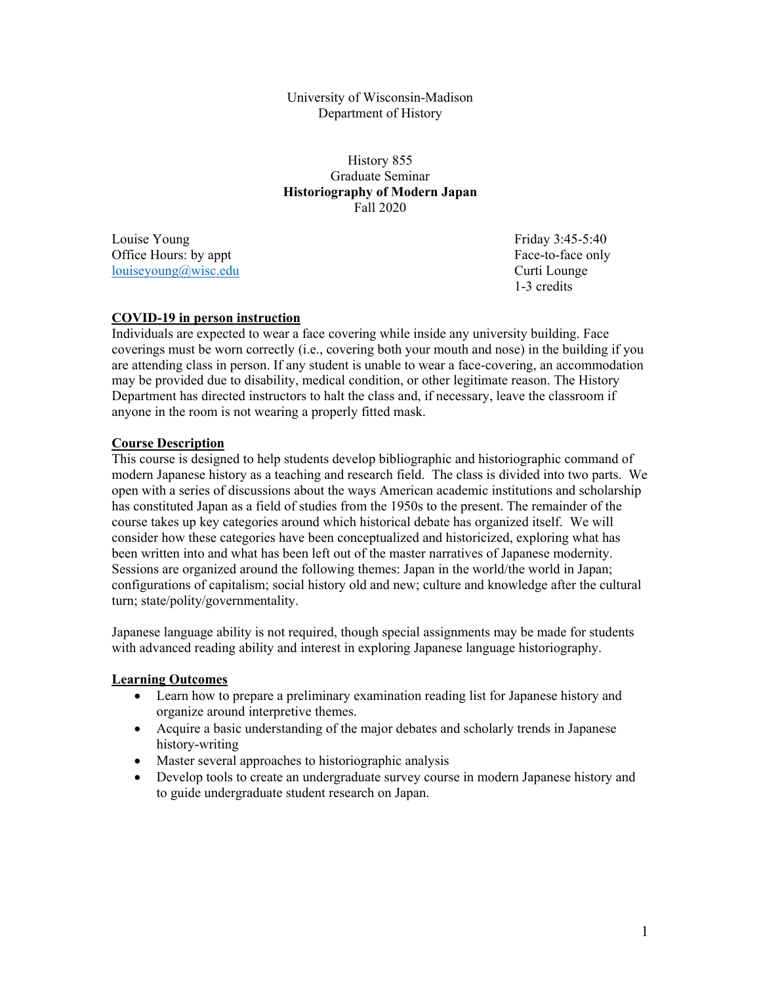University of Wisconsin-Madison Department of History

History 855 Graduate Seminar **Historiography of Modern Japan**  Fall 2020

Louise Young **Friday 3:45-5:40** Office Hours: by appt **Face-to-face only** louiseyoung@wisc.edu Curti Lounge

1-3 credits

### **COVID-19 in person instruction**

Individuals are expected to wear a face covering while inside any university building. Face coverings must be worn correctly (i.e., covering both your mouth and nose) in the building if you are attending class in person. If any student is unable to wear a face-covering, an accommodation may be provided due to disability, medical condition, or other legitimate reason. The History Department has directed instructors to halt the class and, if necessary, leave the classroom if anyone in the room is not wearing a properly fitted mask.

### **Course Description**

This course is designed to help students develop bibliographic and historiographic command of modern Japanese history as a teaching and research field. The class is divided into two parts. We open with a series of discussions about the ways American academic institutions and scholarship has constituted Japan as a field of studies from the 1950s to the present. The remainder of the course takes up key categories around which historical debate has organized itself. We will consider how these categories have been conceptualized and historicized, exploring what has been written into and what has been left out of the master narratives of Japanese modernity. Sessions are organized around the following themes: Japan in the world/the world in Japan; configurations of capitalism; social history old and new; culture and knowledge after the cultural turn; state/polity/governmentality.

Japanese language ability is not required, though special assignments may be made for students with advanced reading ability and interest in exploring Japanese language historiography.

### **Learning Outcomes**

- Learn how to prepare a preliminary examination reading list for Japanese history and organize around interpretive themes.
- Acquire a basic understanding of the major debates and scholarly trends in Japanese history-writing
- Master several approaches to historiographic analysis
- Develop tools to create an undergraduate survey course in modern Japanese history and to guide undergraduate student research on Japan.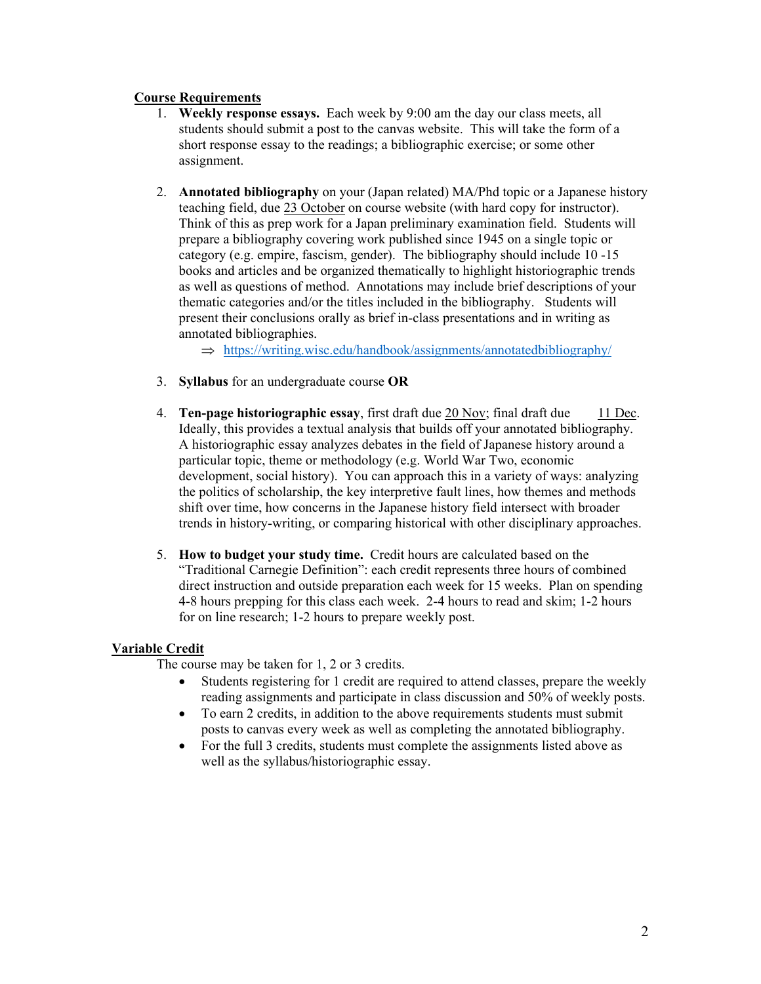# **Course Requirements**

- 1. **Weekly response essays.** Each week by 9:00 am the day our class meets, all students should submit a post to the canvas website. This will take the form of a short response essay to the readings; a bibliographic exercise; or some other assignment.
- 2. **Annotated bibliography** on your (Japan related) MA/Phd topic or a Japanese history teaching field, due 23 October on course website (with hard copy for instructor). Think of this as prep work for a Japan preliminary examination field. Students will prepare a bibliography covering work published since 1945 on a single topic or category (e.g. empire, fascism, gender). The bibliography should include 10 -15 books and articles and be organized thematically to highlight historiographic trends as well as questions of method. Annotations may include brief descriptions of your thematic categories and/or the titles included in the bibliography. Students will present their conclusions orally as brief in-class presentations and in writing as annotated bibliographies.

 $\Rightarrow$  https://writing.wisc.edu/handbook/assignments/annotatedbibliography/

- 3. **Syllabus** for an undergraduate course **OR**
- 4. **Ten-page historiographic essay**, first draft due 20 Nov; final draft due 11 Dec. Ideally, this provides a textual analysis that builds off your annotated bibliography. A historiographic essay analyzes debates in the field of Japanese history around a particular topic, theme or methodology (e.g. World War Two, economic development, social history). You can approach this in a variety of ways: analyzing the politics of scholarship, the key interpretive fault lines, how themes and methods shift over time, how concerns in the Japanese history field intersect with broader trends in history-writing, or comparing historical with other disciplinary approaches.
- 5. **How to budget your study time.** Credit hours are calculated based on the "Traditional Carnegie Definition": each credit represents three hours of combined direct instruction and outside preparation each week for 15 weeks. Plan on spending 4-8 hours prepping for this class each week. 2-4 hours to read and skim; 1-2 hours for on line research; 1-2 hours to prepare weekly post.

## **Variable Credit**

The course may be taken for 1, 2 or 3 credits.

- Students registering for 1 credit are required to attend classes, prepare the weekly reading assignments and participate in class discussion and 50% of weekly posts.
- To earn 2 credits, in addition to the above requirements students must submit posts to canvas every week as well as completing the annotated bibliography.
- For the full 3 credits, students must complete the assignments listed above as well as the syllabus/historiographic essay.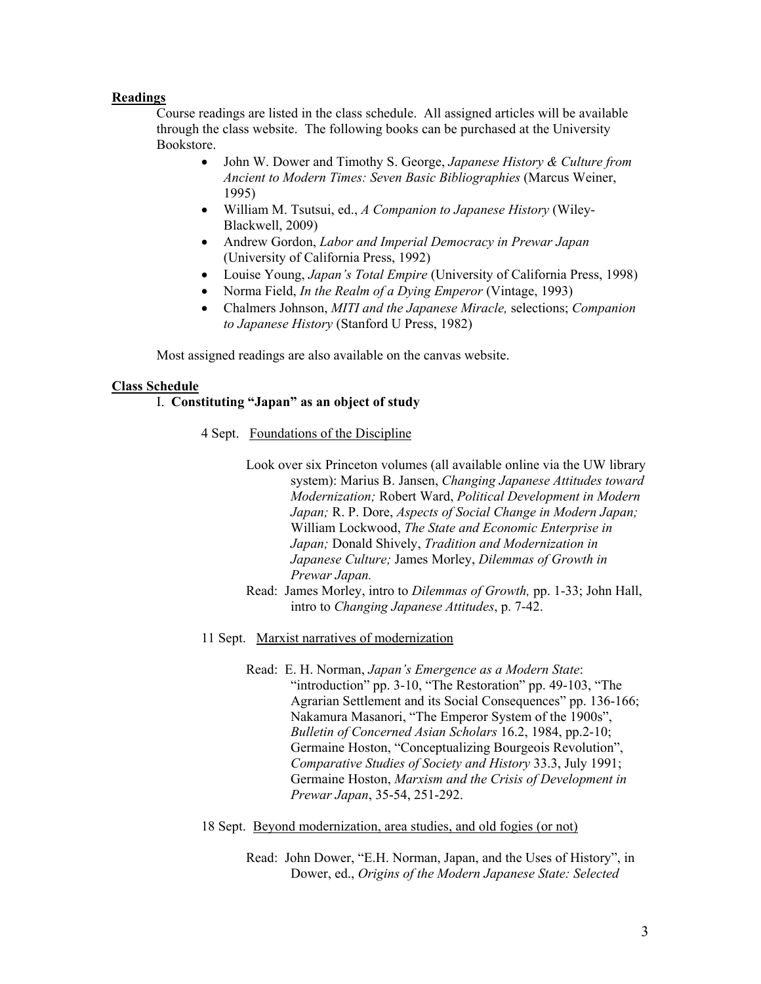### **Readings**

 Course readings are listed in the class schedule. All assigned articles will be available through the class website. The following books can be purchased at the University Bookstore.

- John W. Dower and Timothy S. George, *Japanese History & Culture from Ancient to Modern Times: Seven Basic Bibliographies* (Marcus Weiner, 1995)
- William M. Tsutsui, ed., *A Companion to Japanese History* (Wiley-Blackwell, 2009)
- Andrew Gordon, *Labor and Imperial Democracy in Prewar Japan*  (University of California Press, 1992)
- Louise Young, *Japan's Total Empire* (University of California Press, 1998)
- Norma Field, *In the Realm of a Dying Emperor* (Vintage, 1993)
- Chalmers Johnson, *MITI and the Japanese Miracle,* selections; *Companion to Japanese History* (Stanford U Press, 1982)

Most assigned readings are also available on the canvas website.

#### **Class Schedule**

### I. **Constituting "Japan" as an object of study**

- 4 Sept. Foundations of the Discipline
	- Look over six Princeton volumes (all available online via the UW library system): Marius B. Jansen, *Changing Japanese Attitudes toward Modernization;* Robert Ward, *Political Development in Modern Japan;* R. P. Dore, *Aspects of Social Change in Modern Japan;*  William Lockwood, *The State and Economic Enterprise in Japan;* Donald Shively, *Tradition and Modernization in Japanese Culture;* James Morley, *Dilemmas of Growth in Prewar Japan.*
	- Read: James Morley, intro to *Dilemmas of Growth,* pp. 1-33; John Hall, intro to *Changing Japanese Attitudes*, p. 7-42.
- 11 Sept. Marxist narratives of modernization
	- Read: E. H. Norman, *Japan's Emergence as a Modern State*: "introduction" pp. 3-10, "The Restoration" pp. 49-103, "The Agrarian Settlement and its Social Consequences" pp. 136-166; Nakamura Masanori, "The Emperor System of the 1900s", *Bulletin of Concerned Asian Scholars* 16.2, 1984, pp.2-10; Germaine Hoston, "Conceptualizing Bourgeois Revolution", *Comparative Studies of Society and History* 33.3, July 1991; Germaine Hoston, *Marxism and the Crisis of Development in Prewar Japan*, 35-54, 251-292.

#### 18 Sept. Beyond modernization, area studies, and old fogies (or not)

Read: John Dower, "E.H. Norman, Japan, and the Uses of History", in Dower, ed., *Origins of the Modern Japanese State: Selected*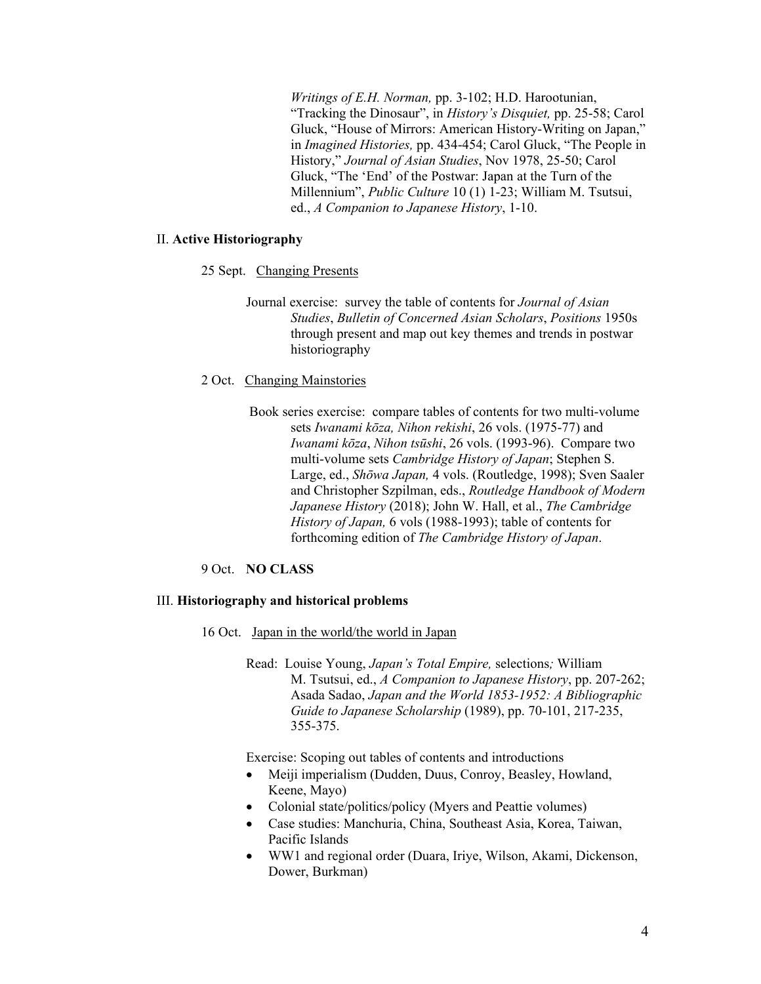*Writings of E.H. Norman,* pp. 3-102; H.D. Harootunian, "Tracking the Dinosaur", in *History's Disquiet,* pp. 25-58; Carol Gluck, "House of Mirrors: American History-Writing on Japan," in *Imagined Histories,* pp. 434-454; Carol Gluck, "The People in History," *Journal of Asian Studies*, Nov 1978, 25-50; Carol Gluck, "The 'End' of the Postwar: Japan at the Turn of the Millennium", *Public Culture* 10 (1) 1-23; William M. Tsutsui, ed., *A Companion to Japanese History*, 1-10.

### II. **Active Historiography**

### 25 Sept. Changing Presents

Journal exercise: survey the table of contents for *Journal of Asian Studies*, *Bulletin of Concerned Asian Scholars*, *Positions* 1950s through present and map out key themes and trends in postwar historiography

### 2 Oct. Changing Mainstories

 Book series exercise: compare tables of contents for two multi-volume sets *Iwanami kōza, Nihon rekishi*, 26 vols. (1975-77) and *Iwanami kōza*, *Nihon tsūshi*, 26 vols. (1993-96). Compare two multi-volume sets *Cambridge History of Japan*; Stephen S. Large, ed., *Shōwa Japan,* 4 vols. (Routledge, 1998); Sven Saaler and Christopher Szpilman, eds., *Routledge Handbook of Modern Japanese History* (2018); John W. Hall, et al., *The Cambridge History of Japan,* 6 vols (1988-1993); table of contents for forthcoming edition of *The Cambridge History of Japan*.

### 9 Oct. **NO CLASS**

#### III. **Historiography and historical problems**

- 16 Oct. Japan in the world/the world in Japan
	- Read: Louise Young, *Japan's Total Empire,* selections*;* William M. Tsutsui, ed., *A Companion to Japanese History*, pp. 207-262; Asada Sadao, *Japan and the World 1853-1952: A Bibliographic Guide to Japanese Scholarship* (1989), pp. 70-101, 217-235, 355-375.

Exercise: Scoping out tables of contents and introductions

- Meiji imperialism (Dudden, Duus, Conroy, Beasley, Howland, Keene, Mayo)
- Colonial state/politics/policy (Myers and Peattie volumes)
- Case studies: Manchuria, China, Southeast Asia, Korea, Taiwan, Pacific Islands
- WW1 and regional order (Duara, Iriye, Wilson, Akami, Dickenson, Dower, Burkman)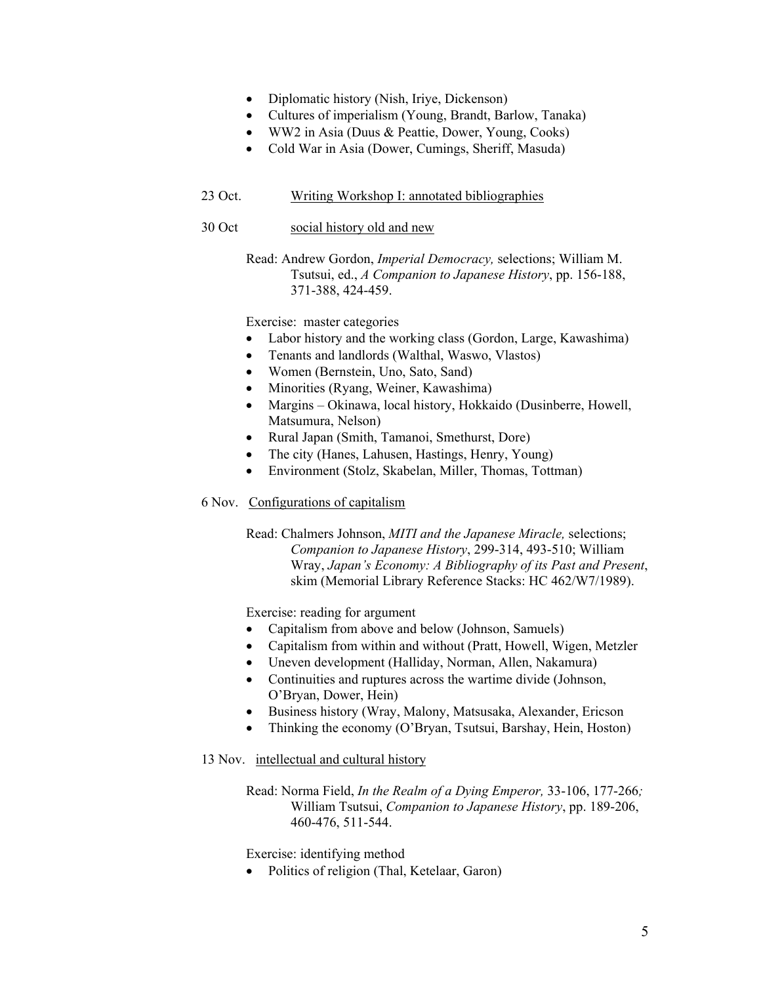- Diplomatic history (Nish, Iriye, Dickenson)
- Cultures of imperialism (Young, Brandt, Barlow, Tanaka)
- WW2 in Asia (Duus & Peattie, Dower, Young, Cooks)
- Cold War in Asia (Dower, Cumings, Sheriff, Masuda)

# 23 Oct. Writing Workshop I: annotated bibliographies

## 30 Oct social history old and new

Read: Andrew Gordon, *Imperial Democracy,* selections; William M. Tsutsui, ed., *A Companion to Japanese History*, pp. 156-188, 371-388, 424-459.

Exercise: master categories

- Labor history and the working class (Gordon, Large, Kawashima)
- Tenants and landlords (Walthal, Waswo, Vlastos)
- Women (Bernstein, Uno, Sato, Sand)
- Minorities (Ryang, Weiner, Kawashima)
- Margins Okinawa, local history, Hokkaido (Dusinberre, Howell, Matsumura, Nelson)
- Rural Japan (Smith, Tamanoi, Smethurst, Dore)
- The city (Hanes, Lahusen, Hastings, Henry, Young)
- Environment (Stolz, Skabelan, Miller, Thomas, Tottman)

## 6 Nov. Configurations of capitalism

Read: Chalmers Johnson, *MITI and the Japanese Miracle,* selections; *Companion to Japanese History*, 299-314, 493-510; William Wray, *Japan's Economy: A Bibliography of its Past and Present*, skim (Memorial Library Reference Stacks: HC 462/W7/1989).

Exercise: reading for argument

- Capitalism from above and below (Johnson, Samuels)
- Capitalism from within and without (Pratt, Howell, Wigen, Metzler
- Uneven development (Halliday, Norman, Allen, Nakamura)
- Continuities and ruptures across the wartime divide (Johnson, O'Bryan, Dower, Hein)
- Business history (Wray, Malony, Matsusaka, Alexander, Ericson
- Thinking the economy (O'Bryan, Tsutsui, Barshay, Hein, Hoston)

## 13 Nov. intellectual and cultural history

Read: Norma Field, *In the Realm of a Dying Emperor,* 33-106, 177-266*;*  William Tsutsui, *Companion to Japanese History*, pp. 189-206, 460-476, 511-544.

Exercise: identifying method

• Politics of religion (Thal, Ketelaar, Garon)